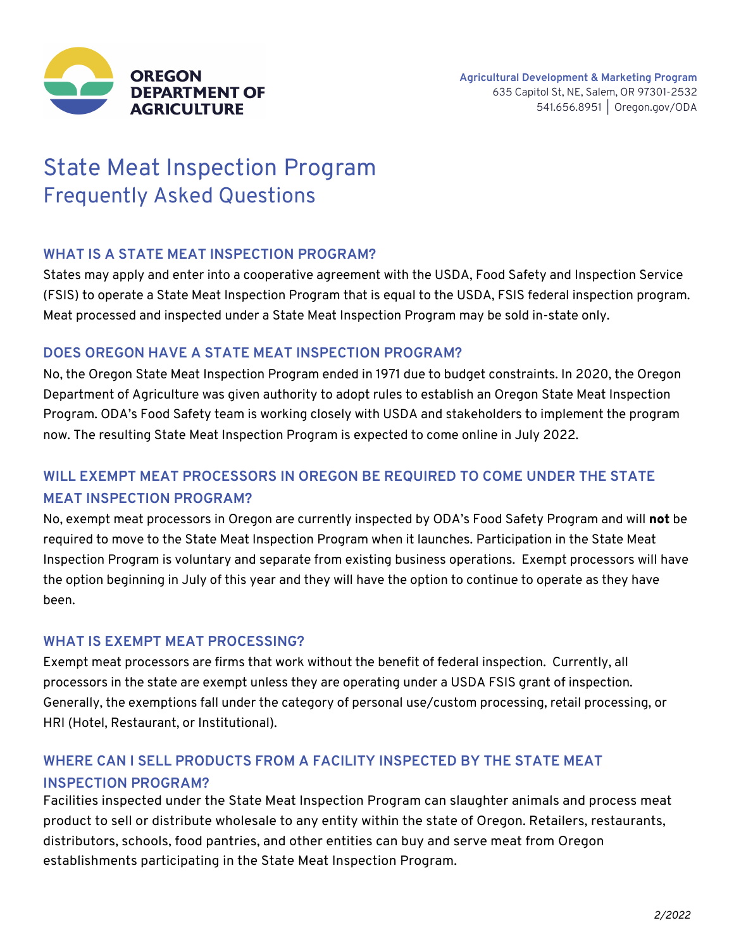

# State Meat Inspection Program Frequently Asked Questions

#### **WHAT IS A STATE MEAT INSPECTION PROGRAM?**

States may apply and enter into a cooperative agreement with the USDA, Food Safety and Inspection Service (FSIS) to operate a State Meat Inspection Program that is equal to the USDA, FSIS federal inspection program. Meat processed and inspected under a State Meat Inspection Program may be sold in-state only.

#### **DOES OREGON HAVE A STATE MEAT INSPECTION PROGRAM?**

No, the Oregon State Meat Inspection Program ended in 1971 due to budget constraints. In 2020, the Oregon Department of Agriculture was given authority to adopt rules to establish an Oregon State Meat Inspection Program. ODA's Food Safety team is working closely with USDA and stakeholders to implement the program now. The resulting State Meat Inspection Program is expected to come online in July 2022.

## **WILL EXEMPT MEAT PROCESSORS IN OREGON BE REQUIRED TO COME UNDER THE STATE MEAT INSPECTION PROGRAM?**

No, exempt meat processors in Oregon are currently inspected by ODA's Food Safety Program and will **not** be required to move to the State Meat Inspection Program when it launches. Participation in the State Meat Inspection Program is voluntary and separate from existing business operations. Exempt processors will have the option beginning in July of this year and they will have the option to continue to operate as they have been.

#### **WHAT IS EXEMPT MEAT PROCESSING?**

Exempt meat processors are firms that work without the benefit of federal inspection. Currently, all processors in the state are exempt unless they are operating under a USDA FSIS grant of inspection. Generally, the exemptions fall under the category of personal use/custom processing, retail processing, or HRI (Hotel, Restaurant, or Institutional).

### **WHERE CAN I SELL PRODUCTS FROM A FACILITY INSPECTED BY THE STATE MEAT INSPECTION PROGRAM?**

Facilities inspected under the State Meat Inspection Program can slaughter animals and process meat product to sell or distribute wholesale to any entity within the state of Oregon. Retailers, restaurants, distributors, schools, food pantries, and other entities can buy and serve meat from Oregon establishments participating in the State Meat Inspection Program.